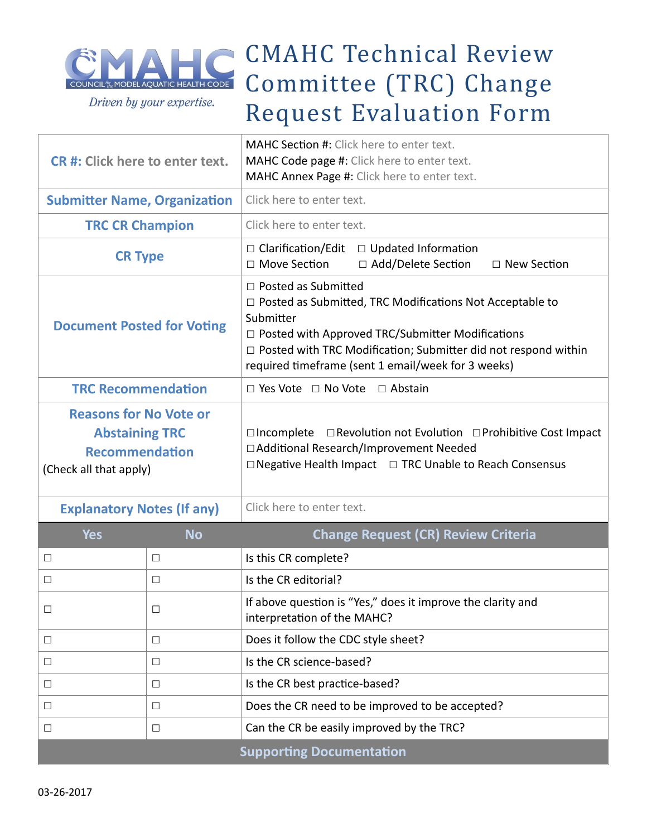

## CMAHC Technical Review Committee (TRC) Change Request Evaluation Form

| CR#: Click here to enter text.                                                                            |           | <b>MAHC Section #:</b> Click here to enter text.<br>MAHC Code page #: Click here to enter text.<br>MAHC Annex Page #: Click here to enter text.                                                                                                                                            |  |
|-----------------------------------------------------------------------------------------------------------|-----------|--------------------------------------------------------------------------------------------------------------------------------------------------------------------------------------------------------------------------------------------------------------------------------------------|--|
| <b>Submitter Name, Organization</b>                                                                       |           | Click here to enter text.                                                                                                                                                                                                                                                                  |  |
| <b>TRC CR Champion</b>                                                                                    |           | Click here to enter text.                                                                                                                                                                                                                                                                  |  |
| <b>CR Type</b>                                                                                            |           | □ Clarification/Edit<br>$\Box$ Updated Information<br>□ Move Section<br>□ Add/Delete Section<br>$\Box$ New Section                                                                                                                                                                         |  |
| <b>Document Posted for Voting</b>                                                                         |           | $\Box$ Posted as Submitted<br>$\Box$ Posted as Submitted, TRC Modifications Not Acceptable to<br>Submitter<br>□ Posted with Approved TRC/Submitter Modifications<br>□ Posted with TRC Modification; Submitter did not respond within<br>required timeframe (sent 1 email/week for 3 weeks) |  |
| <b>TRC Recommendation</b>                                                                                 |           | $\Box$ Yes Vote $\Box$ No Vote<br>$\Box$ Abstain                                                                                                                                                                                                                                           |  |
| <b>Reasons for No Vote or</b><br><b>Abstaining TRC</b><br><b>Recommendation</b><br>(Check all that apply) |           | $\Box$ Revolution not Evolution $\Box$ Prohibitive Cost Impact<br>$\Box$ Incomplete<br>□ Additional Research/Improvement Needed<br>□ Negative Health Impact □ TRC Unable to Reach Consensus                                                                                                |  |
| <b>Explanatory Notes (If any)</b>                                                                         |           | Click here to enter text.                                                                                                                                                                                                                                                                  |  |
| <b>Yes</b>                                                                                                | <b>No</b> | <b>Change Request (CR) Review Criteria</b>                                                                                                                                                                                                                                                 |  |
| $\Box$                                                                                                    | $\Box$    | Is this CR complete?                                                                                                                                                                                                                                                                       |  |
| $\Box$                                                                                                    | $\Box$    | Is the CR editorial?                                                                                                                                                                                                                                                                       |  |
| $\Box$                                                                                                    | $\Box$    | If above question is "Yes," does it improve the clarity and<br>interpretation of the MAHC?                                                                                                                                                                                                 |  |

|                                 |  | <b>INCREDICTATION</b> CHE IVIANC:               |
|---------------------------------|--|-------------------------------------------------|
|                                 |  | Does it follow the CDC style sheet?             |
|                                 |  | Is the CR science-based?                        |
|                                 |  | Is the CR best practice-based?                  |
|                                 |  | Does the CR need to be improved to be accepted? |
|                                 |  | Can the CR be easily improved by the TRC?       |
| <b>Supporting Documentation</b> |  |                                                 |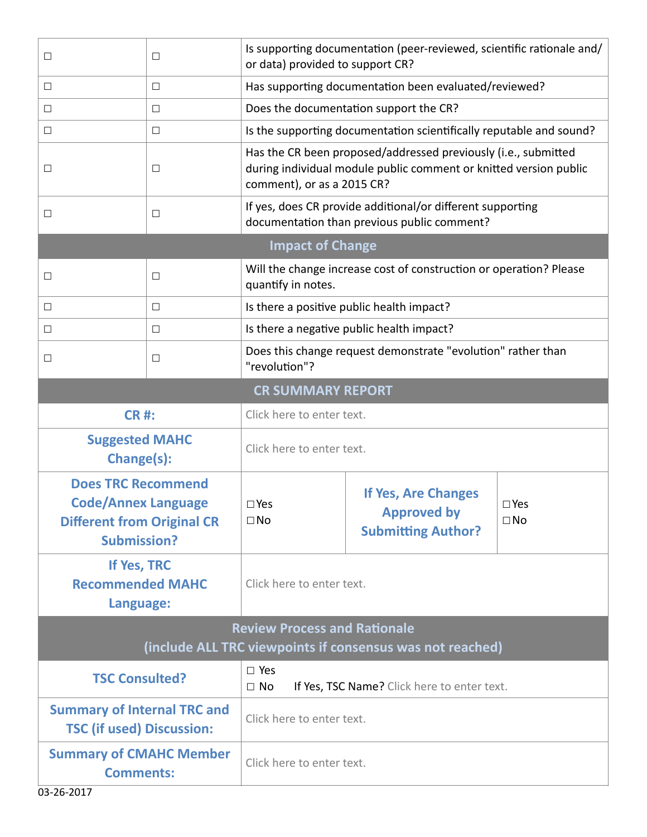| $\Box$                                                                                                             | $\Box$ | or data) provided to support CR?                                                                          | Is supporting documentation (peer-reviewed, scientific rationale and/                                                               |                            |  |
|--------------------------------------------------------------------------------------------------------------------|--------|-----------------------------------------------------------------------------------------------------------|-------------------------------------------------------------------------------------------------------------------------------------|----------------------------|--|
| $\Box$                                                                                                             | □      | Has supporting documentation been evaluated/reviewed?                                                     |                                                                                                                                     |                            |  |
| $\Box$                                                                                                             | □      |                                                                                                           | Does the documentation support the CR?                                                                                              |                            |  |
| □                                                                                                                  | □      |                                                                                                           | Is the supporting documentation scientifically reputable and sound?                                                                 |                            |  |
| $\Box$                                                                                                             | $\Box$ | comment), or as a 2015 CR?                                                                                | Has the CR been proposed/addressed previously (i.e., submitted<br>during individual module public comment or knitted version public |                            |  |
| $\Box$                                                                                                             | □      | If yes, does CR provide additional/or different supporting<br>documentation than previous public comment? |                                                                                                                                     |                            |  |
| <b>Impact of Change</b>                                                                                            |        |                                                                                                           |                                                                                                                                     |                            |  |
| □                                                                                                                  | □      | Will the change increase cost of construction or operation? Please<br>quantify in notes.                  |                                                                                                                                     |                            |  |
| $\Box$                                                                                                             | $\Box$ | Is there a positive public health impact?                                                                 |                                                                                                                                     |                            |  |
| $\Box$                                                                                                             | $\Box$ | Is there a negative public health impact?                                                                 |                                                                                                                                     |                            |  |
| $\Box$                                                                                                             | $\Box$ | Does this change request demonstrate "evolution" rather than<br>"revolution"?                             |                                                                                                                                     |                            |  |
| <b>CR SUMMARY REPORT</b>                                                                                           |        |                                                                                                           |                                                                                                                                     |                            |  |
| <b>CR#:</b>                                                                                                        |        | Click here to enter text.                                                                                 |                                                                                                                                     |                            |  |
| <b>Suggested MAHC</b><br>Change(s):                                                                                |        | Click here to enter text.                                                                                 |                                                                                                                                     |                            |  |
| <b>Does TRC Recommend</b><br><b>Code/Annex Language</b><br><b>Different from Original CR</b><br><b>Submission?</b> |        | $\square$ Yes<br>$\square$ No                                                                             | If Yes, Are Changes<br><b>Approved by</b><br><b>Submitting Author?</b>                                                              | $\square$ Yes<br>$\Box$ No |  |
| If Yes, TRC<br><b>Recommended MAHC</b><br>Language:                                                                |        | Click here to enter text.                                                                                 |                                                                                                                                     |                            |  |
| <b>Review Process and Rationale</b>                                                                                |        |                                                                                                           |                                                                                                                                     |                            |  |
| (include ALL TRC viewpoints if consensus was not reached)                                                          |        |                                                                                                           |                                                                                                                                     |                            |  |
| <b>TSC Consulted?</b>                                                                                              |        | $\square$ Yes<br>If Yes, TSC Name? Click here to enter text.<br>$\Box$ No                                 |                                                                                                                                     |                            |  |
| <b>Summary of Internal TRC and</b><br><b>TSC (if used) Discussion:</b>                                             |        | Click here to enter text.                                                                                 |                                                                                                                                     |                            |  |
| <b>Summary of CMAHC Member</b><br><b>Comments:</b>                                                                 |        | Click here to enter text.                                                                                 |                                                                                                                                     |                            |  |